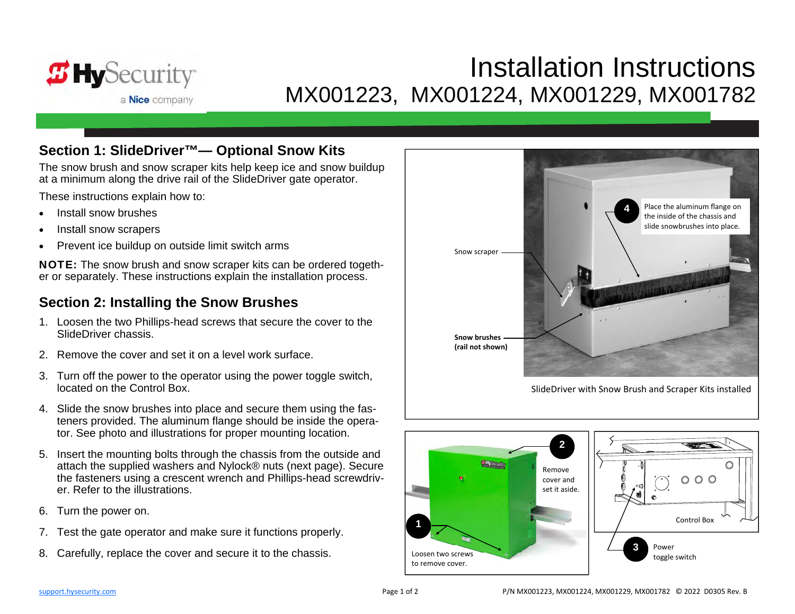

# Installation InstructionsMX001223, MX001224, MX001229, MX001782

#### **Section 1: SlideDriver™— Optional Snow Kits**

The snow brush and snow scraper kits help keep ice and snow buildup at a minimum along the drive rail of the SlideDriver gate operator.

These instructions explain how to:

- $\bullet$ Install snow brushes
- $\bullet$ Install snow scrapers
- $\bullet$ Prevent ice buildup on outside limit switch arms

NOTE: The snow brush and snow scraper kits can be ordered together or separately. These instructions explain the installation process.

#### **Section 2: Installing the Snow Brushes**

- 1. Loosen the two Phillips-head screws that secure the cover to the SlideDriver chassis.
- 2. Remove the cover and set it on a level work surface.
- 3. Turn off the power to the operator using the power toggle switch, located on the Control Box.
- 4. Slide the snow brushes into place and secure them using the fasteners provided. The aluminum flange should be inside the operator. See photo and illustrations for proper mounting location.
- 5. Insert the mounting bolts through the chassis from the outside and attach the supplied washers and Nylock® nuts (next page). Secure the fasteners using a crescent wrench and Phillips-head screwdriver. Refer to the illustrations.
- 6. Turn the power on.
- 7. Test the gate operator and make sure it functions properly.
- 8. Carefully, replace the cover and secure it to the chassis. Loosen two screws